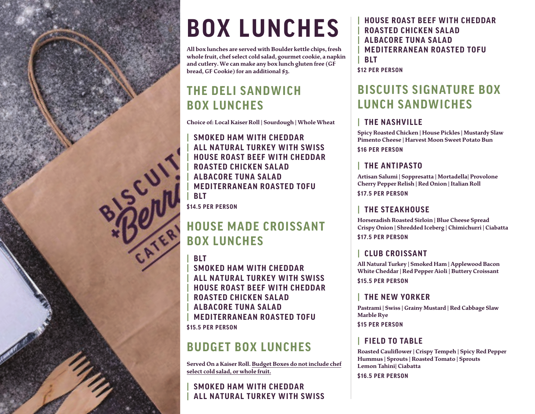

# **BOX LUNCHES**

 **All box lunches are served with Boulder kettle chips,fresh whole fruit, chef select cold salad, gourmet cookie, a napkin and cutlery.We can make any box lunch gluten free (GF bread, GF Cookie) for an additional \$3.**

# **THE DELI SANDWICHBOX LUNCHES**

**Choice of: Local Kaiser Roll | Sourdough | Whole Wheat**

**| SMOKED HAM WITH CHEDDAR | ALL NATURAL TURKEY WITH SWISS | HOUSE ROAST BEEF WITH CHEDDAR**HUUSE RUNG LE ROASTED CHICKEN SALAD<br> **| ROASTED CHICKEN SALAD**<br> **| MEDITERRANEAN ROASTED**<br> **BLT**<br>
\$14.5 PER PERSON **| ALBACORE TUNA SALAD | MEDITERRANEAN ROASTED TOFU| BLT\$14 PER PERSON**

# **HOUSE MADE CROISSANT BOX LUNCHES**

**| BLT**

 **| SMOKED HAM WITH CHEDDAR | ALL NATURAL TURKEY WITH SWISS | HOUSE ROAST BEEF WITH CHEDDAR| ROASTED CHICKEN SALAD| ALBACORE TUNA SALAD | MEDITERRANEAN ROASTED TOFU\$15 PER PERSON**

# **BUDGET BOX LUNCHES**

**Served On a Kaiser Roll. Budget Boxes do not include chef select cold salad, or whole fruit.** 

#### **| SMOKED HAM WITH CHEDDAR| ALL NATURAL TURKEY WITH SWISS**

**| HOUSE ROAST BEEF WITH CHEDDAR | ROASTED CHICKEN SALAD | ALBACORE TUNA SALAD | MEDITERRANEAN ROASTED TOFU | BLT**

**\$1 PER PERSON**

# **BISCUITS SIGNATURE BOX LUNCH SANDWICHES**

## **| THE NASHVILLE**

**Spicy Roasted Chicken | House Pickles | Mustardy Slaw Pimento Cheese | Harvest Moon Sweet Potato Bun \$1 PER PERSON**

# **| THE ANTIPASTO**

**Artisan Salumi | Soppresatta | Mortadella| Provolone Cherry Pepper Relish | Red Onion | Italian Roll \$17 PER PERSON**

# **| THE STEAKHOUSE**

**Horseradish Roasted Sirloin | Blue Cheese Spread Crispy Onion | Shredded Iceberg | Chimichurri | Ciabatta \$17 PER PERSON**

## **| CLUB CROISSANT**

**All Natural Turkey | Smoked Ham | Applewood Bacon White Cheddar | Red Pepper Aioli | Buttery Croissant** 

**\$15 PER PERSON**

## **| THE NEW YORKER**

**Pastrami | Swiss | Grainy Mustard | Red Cabbage Slaw Marble Rye** 

**\$15 PER PERSON**

## **| FIELD TO TABLE**

**Roasted Cauliflower | Crispy Tempeh | Spicy Red Pepper Hummus | Sprouts | Roasted Tomato | Sprouts Lemon Tahini| Ciabatta** 

**\$16 PER PERSON**